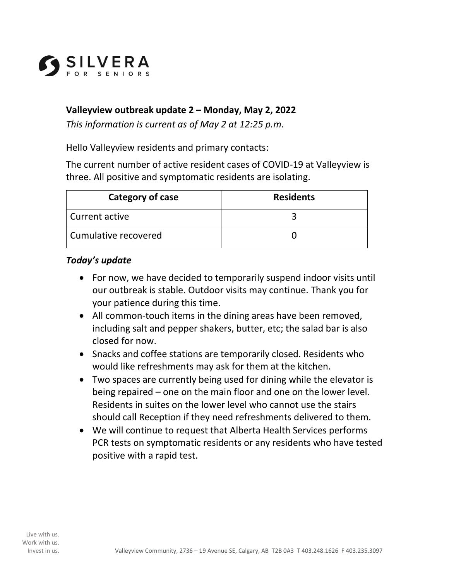

## **Valleyview outbreak update 2 – Monday, May 2, 2022**

*This information is current as of May 2 at 12:25 p.m.* 

Hello Valleyview residents and primary contacts:

The current number of active resident cases of COVID-19 at Valleyview is three. All positive and symptomatic residents are isolating.

| Category of case       | <b>Residents</b> |
|------------------------|------------------|
| Current active         |                  |
| l Cumulative recovered |                  |

## *Today's update*

- For now, we have decided to temporarily suspend indoor visits until our outbreak is stable. Outdoor visits may continue. Thank you for your patience during this time.
- All common-touch items in the dining areas have been removed, including salt and pepper shakers, butter, etc; the salad bar is also closed for now.
- Snacks and coffee stations are temporarily closed. Residents who would like refreshments may ask for them at the kitchen.
- Two spaces are currently being used for dining while the elevator is being repaired – one on the main floor and one on the lower level. Residents in suites on the lower level who cannot use the stairs should call Reception if they need refreshments delivered to them.
- We will continue to request that Alberta Health Services performs PCR tests on symptomatic residents or any residents who have tested positive with a rapid test.